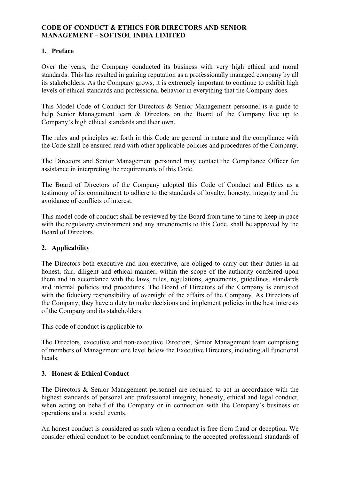#### **CODE OF CONDUCT & ETHICS FOR DIRECTORS AND SENIOR MANAGEMENT – SOFTSOL INDIA LIMITED**

#### **1. Preface**

Over the years, the Company conducted its business with very high ethical and moral standards. This has resulted in gaining reputation as a professionally managed company by all its stakeholders. As the Company grows, it is extremely important to continue to exhibit high levels of ethical standards and professional behavior in everything that the Company does.

This Model Code of Conduct for Directors & Senior Management personnel is a guide to help Senior Management team & Directors on the Board of the Company live up to Company's high ethical standards and their own.

The rules and principles set forth in this Code are general in nature and the compliance with the Code shall be ensured read with other applicable policies and procedures of the Company.

The Directors and Senior Management personnel may contact the Compliance Officer for assistance in interpreting the requirements of this Code.

The Board of Directors of the Company adopted this Code of Conduct and Ethics as a testimony of its commitment to adhere to the standards of loyalty, honesty, integrity and the avoidance of conflicts of interest.

This model code of conduct shall be reviewed by the Board from time to time to keep in pace with the regulatory environment and any amendments to this Code, shall be approved by the Board of Directors.

#### **2. Applicability**

The Directors both executive and non-executive, are obliged to carry out their duties in an honest, fair, diligent and ethical manner, within the scope of the authority conferred upon them and in accordance with the laws, rules, regulations, agreements, guidelines, standards and internal policies and procedures. The Board of Directors of the Company is entrusted with the fiduciary responsibility of oversight of the affairs of the Company. As Directors of the Company, they have a duty to make decisions and implement policies in the best interests of the Company and its stakeholders.

This code of conduct is applicable to:

The Directors, executive and non-executive Directors, Senior Management team comprising of members of Management one level below the Executive Directors, including all functional heads.

#### **3. Honest & Ethical Conduct**

The Directors & Senior Management personnel are required to act in accordance with the highest standards of personal and professional integrity, honestly, ethical and legal conduct, when acting on behalf of the Company or in connection with the Company's business or operations and at social events.

An honest conduct is considered as such when a conduct is free from fraud or deception. We consider ethical conduct to be conduct conforming to the accepted professional standards of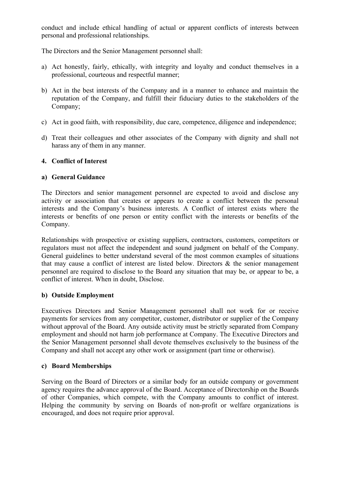conduct and include ethical handling of actual or apparent conflicts of interests between personal and professional relationships.

The Directors and the Senior Management personnel shall:

- a) Act honestly, fairly, ethically, with integrity and loyalty and conduct themselves in a professional, courteous and respectful manner;
- b) Act in the best interests of the Company and in a manner to enhance and maintain the reputation of the Company, and fulfill their fiduciary duties to the stakeholders of the Company;
- c) Act in good faith, with responsibility, due care, competence, diligence and independence;
- d) Treat their colleagues and other associates of the Company with dignity and shall not harass any of them in any manner.

## **4. Conflict of Interest**

### **a) General Guidance**

The Directors and senior management personnel are expected to avoid and disclose any activity or association that creates or appears to create a conflict between the personal interests and the Company's business interests. A Conflict of interest exists where the interests or benefits of one person or entity conflict with the interests or benefits of the Company.

Relationships with prospective or existing suppliers, contractors, customers, competitors or regulators must not affect the independent and sound judgment on behalf of the Company. General guidelines to better understand several of the most common examples of situations that may cause a conflict of interest are listed below. Directors  $\&$  the senior management personnel are required to disclose to the Board any situation that may be, or appear to be, a conflict of interest. When in doubt, Disclose.

### **b) Outside Employment**

Executives Directors and Senior Management personnel shall not work for or receive payments for services from any competitor, customer, distributor or supplier of the Company without approval of the Board. Any outside activity must be strictly separated from Company employment and should not harm job performance at Company. The Executive Directors and the Senior Management personnel shall devote themselves exclusively to the business of the Company and shall not accept any other work or assignment (part time or otherwise).

### **c) Board Memberships**

Serving on the Board of Directors or a similar body for an outside company or government agency requires the advance approval of the Board. Acceptance of Directorship on the Boards of other Companies, which compete, with the Company amounts to conflict of interest. Helping the community by serving on Boards of non-profit or welfare organizations is encouraged, and does not require prior approval.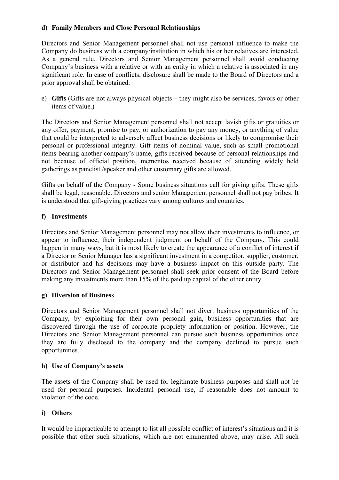## **d) Family Members and Close Personal Relationships**

Directors and Senior Management personnel shall not use personal influence to make the Company do business with a company/institution in which his or her relatives are interested. As a general rule, Directors and Senior Management personnel shall avoid conducting Company's business with a relative or with an entity in which a relative is associated in any significant role. In case of conflicts, disclosure shall be made to the Board of Directors and a prior approval shall be obtained.

e) **Gifts** (Gifts are not always physical objects – they might also be services, favors or other items of value.)

The Directors and Senior Management personnel shall not accept lavish gifts or gratuities or any offer, payment, promise to pay, or authorization to pay any money, or anything of value that could be interpreted to adversely affect business decisions or likely to compromise their personal or professional integrity. Gift items of nominal value, such as small promotional items bearing another company's name, gifts received because of personal relationships and not because of official position, mementos received because of attending widely held gatherings as panelist /speaker and other customary gifts are allowed.

Gifts on behalf of the Company - Some business situations call for giving gifts. These gifts shall be legal, reasonable. Directors and senior Management personnel shall not pay bribes. It is understood that gift-giving practices vary among cultures and countries.

### **f) Investments**

Directors and Senior Management personnel may not allow their investments to influence, or appear to influence, their independent judgment on behalf of the Company. This could happen in many ways, but it is most likely to create the appearance of a conflict of interest if a Director or Senior Manager has a significant investment in a competitor, supplier, customer, or distributor and his decisions may have a business impact on this outside party. The Directors and Senior Management personnel shall seek prior consent of the Board before making any investments more than 15% of the paid up capital of the other entity.

### **g) Diversion of Business**

Directors and Senior Management personnel shall not divert business opportunities of the Company, by exploiting for their own personal gain, business opportunities that are discovered through the use of corporate propriety information or position. However, the Directors and Senior Management personnel can pursue such business opportunities once they are fully disclosed to the company and the company declined to pursue such opportunities.

### **h) Use of Company's assets**

The assets of the Company shall be used for legitimate business purposes and shall not be used for personal purposes. Incidental personal use, if reasonable does not amount to violation of the code.

# **i) Others**

It would be impracticable to attempt to list all possible conflict of interest's situations and it is possible that other such situations, which are not enumerated above, may arise. All such